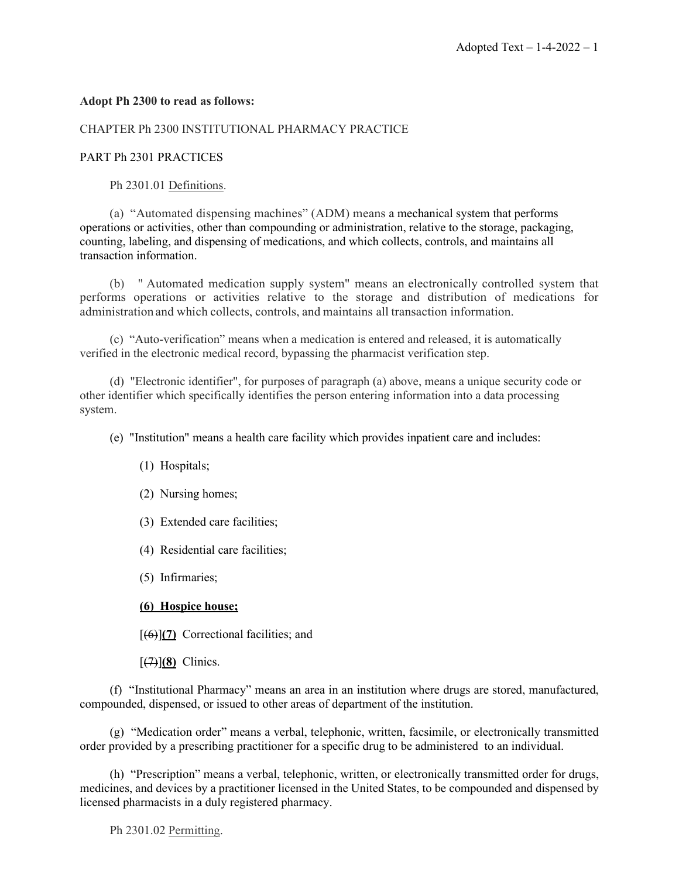# **Adopt Ph 2300 to read as follows:**

# CHAPTER Ph 2300 INSTITUTIONAL PHARMACY PRACTICE

## PART Ph 2301 PRACTICES

Ph 2301.01 Definitions.

(a) "Automated dispensing machines" (ADM) means a mechanical system that performs operations or activities, other than compounding or administration, relative to the storage, packaging, counting, labeling, and dispensing of medications, and which collects, controls, and maintains all transaction information.

(b) " Automated medication supply system" means an electronically controlled system that performs operations or activities relative to the storage and distribution of medications for administration and which collects, controls, and maintains all transaction information.

(c) "Auto-verification" means when a medication is entered and released, it is automatically verified in the electronic medical record, bypassing the pharmacist verification step.

(d) "Electronic identifier", for purposes of paragraph (a) above, means a unique security code or other identifier which specifically identifies the person entering information into a data processing system.

(e) "Institution" means a health care facility which provides inpatient care and includes:

- (1) Hospitals;
- (2) Nursing homes;
- (3) Extended care facilities;
- (4) Residential care facilities;
- (5) Infirmaries;

## **(6) Hospice house;**

[(6)]**(7)** Correctional facilities; and

 $\left[\frac{7}{7}\right]$  (8) Clinics.

(f) "Institutional Pharmacy" means an area in an institution where drugs are stored, manufactured, compounded, dispensed, or issued to other areas of department of the institution.

(g) "Medication order" means a verbal, telephonic, written, facsimile, or electronically transmitted order provided by a prescribing practitioner for a specific drug to be administered to an individual.

(h) "Prescription" means a verbal, telephonic, written, or electronically transmitted order for drugs, medicines, and devices by a practitioner licensed in the United States, to be compounded and dispensed by licensed pharmacists in a duly registered pharmacy.

Ph 2301.02 Permitting.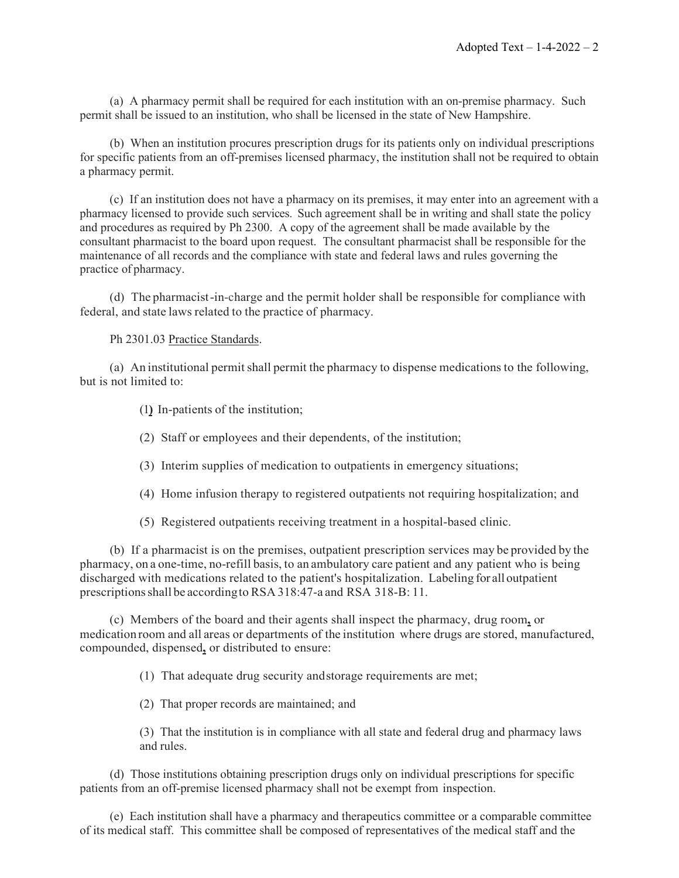(a) A pharmacy permit shall be required for each institution with an on-premise pharmacy. Such permit shall be issued to an institution, who shall be licensed in the state of New Hampshire.

(b) When an institution procures prescription drugs for its patients only on individual prescriptions for specific patients from an off-premises licensed pharmacy, the institution shall not be required to obtain a pharmacy permit.

(c) If an institution does not have a pharmacy on its premises, it may enter into an agreement with a pharmacy licensed to provide such services. Such agreement shall be in writing and shall state the policy and procedures as required by Ph 2300. A copy of the agreement shall be made available by the consultant pharmacist to the board upon request. The consultant pharmacist shall be responsible for the maintenance of all records and the compliance with state and federal laws and rules governing the practice of pharmacy.

(d) The pharmacist-in-charge and the permit holder shall be responsible for compliance with federal, and state laws related to the practice of pharmacy.

Ph 2301.03 Practice Standards.

(a) An institutional permitshall permit the pharmacy to dispense medications to the following, but is not limited to:

(1**)** In-patients of the institution;

(2) Staff or employees and their dependents, of the institution;

(3) Interim supplies of medication to outpatients in emergency situations;

- (4) Home infusion therapy to registered outpatients not requiring hospitalization; and
- (5) Registered outpatients receiving treatment in a hospital-based clinic.

(b) If a pharmacist is on the premises, outpatient prescription services may be provided by the pharmacy, on a one-time, no-refill basis, to an ambulatory care patient and any patient who is being discharged with medications related to the patient's hospitalization. Labeling for alloutpatient prescriptionsshall be accordingto RSA 318:47-a and RSA 318-B: 11.

(c) Members of the board and their agents shall inspect the pharmacy, drug room**,** or medication room and all areas or departments of the institution where drugs are stored, manufactured, compounded, dispensed**,** or distributed to ensure:

(1) That adequate drug security andstorage requirements are met;

(2) That proper records are maintained; and

(3) That the institution is in compliance with all state and federal drug and pharmacy laws and rules.

(d) Those institutions obtaining prescription drugs only on individual prescriptions for specific patients from an off-premise licensed pharmacy shall not be exempt from inspection.

(e) Each institution shall have a pharmacy and therapeutics committee or a comparable committee of its medical staff. This committee shall be composed of representatives of the medical staff and the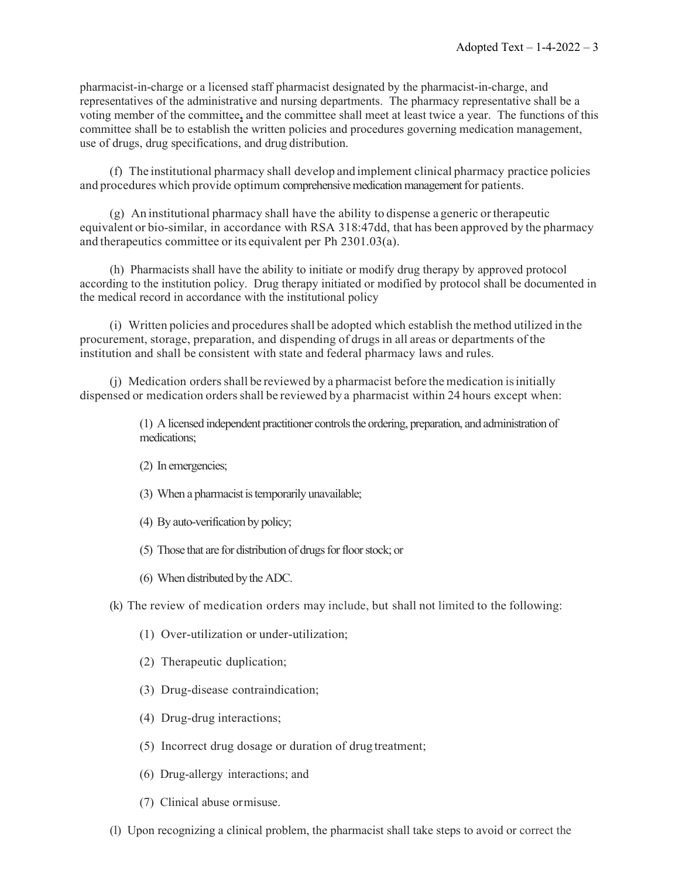pharmacist-in-charge or a licensed staff pharmacist designated by the pharmacist-in-charge, and representatives of the administrative and nursing departments. The pharmacy representative shall be a voting member of the committee**,** and the committee shall meet at least twice a year. The functions of this committee shall be to establish the written policies and procedures governing medication management, use of drugs, drug specifications, and drug distribution.

(f) The institutional pharmacy shall develop and implement clinical pharmacy practice policies and procedures which provide optimum comprehensive medication management for patients.

(g) An institutional pharmacy shall have the ability to dispense a generic ortherapeutic equivalent or bio-similar, in accordance with RSA 318:47dd, that has been approved by the pharmacy and therapeutics committee or its equivalent per Ph 2301.03(a).

(h) Pharmacists shall have the ability to initiate or modify drug therapy by approved protocol according to the institution policy. Drug therapy initiated or modified by protocol shall be documented in the medical record in accordance with the institutional policy

(i) Written policies and proceduresshall be adopted which establish the method utilized in the procurement, storage, preparation, and dispending of drugsin all areas or departments of the institution and shall be consistent with state and federal pharmacy laws and rules.

(j) Medication ordersshall be reviewed by a pharmacist before the medication isinitially dispensed or medication orders shall be reviewed by a pharmacist within 24 hours except when:

> (1) A licensed independent practitioner controls the ordering, preparation, and administration of medications;

- (2) In emergencies;
- (3) When a pharmacist is temporarily unavailable;
- (4) By auto-verification by policy;
- (5) Those that are for distribution of drugs for floor stock; or
- (6) When distributed by the ADC.

(k) The review of medication orders may include, but shall not limited to the following:

- (1) Over-utilization or under-utilization;
- (2) Therapeutic duplication;
- (3) Drug-disease contraindication;
- (4) Drug-drug interactions;
- (5) Incorrect drug dosage or duration of drug treatment;
- (6) Drug-allergy interactions; and
- (7) Clinical abuse ormisuse.
- (l) Upon recognizing a clinical problem, the pharmacist shall take steps to avoid or correct the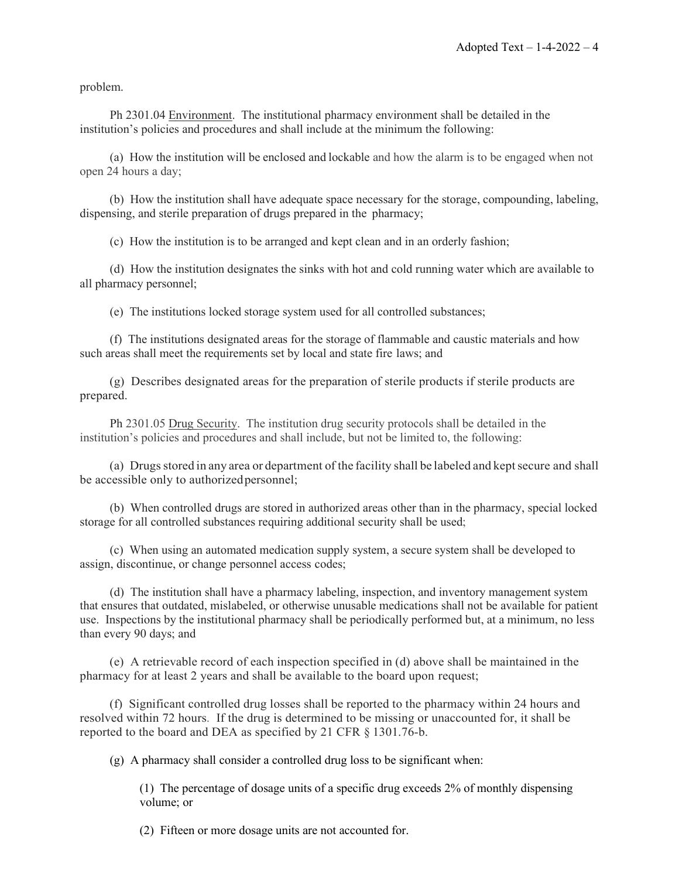problem.

Ph 2301.04 Environment. The institutional pharmacy environment shall be detailed in the institution's policies and procedures and shall include at the minimum the following:

(a) How the institution will be enclosed and lockable and how the alarm is to be engaged when not open 24 hours a day;

(b) How the institution shall have adequate space necessary for the storage, compounding, labeling, dispensing, and sterile preparation of drugs prepared in the pharmacy;

(c) How the institution is to be arranged and kept clean and in an orderly fashion;

(d) How the institution designates the sinks with hot and cold running water which are available to all pharmacy personnel;

(e) The institutions locked storage system used for all controlled substances;

(f) The institutions designated areas for the storage of flammable and caustic materials and how such areas shall meet the requirements set by local and state fire laws; and

(g) Describes designated areas for the preparation of sterile products if sterile products are prepared.

Ph 2301.05 Drug Security. The institution drug security protocols shall be detailed in the institution's policies and procedures and shall include, but not be limited to, the following:

(a) Drugsstored in any area or department of the facility shall be labeled and keptsecure and shall be accessible only to authorized personnel;

(b) When controlled drugs are stored in authorized areas other than in the pharmacy, special locked storage for all controlled substances requiring additional security shall be used;

(c) When using an automated medication supply system, a secure system shall be developed to assign, discontinue, or change personnel access codes;

(d) The institution shall have a pharmacy labeling, inspection, and inventory management system that ensures that outdated, mislabeled, or otherwise unusable medications shall not be available for patient use. Inspections by the institutional pharmacy shall be periodically performed but, at a minimum, no less than every 90 days; and

(e) A retrievable record of each inspection specified in (d) above shall be maintained in the pharmacy for at least 2 years and shall be available to the board upon request;

(f) Significant controlled drug losses shall be reported to the pharmacy within 24 hours and resolved within 72 hours. If the drug is determined to be missing or unaccounted for, it shall be reported to the board and DEA as specified by 21 CFR § 1301.76-b.

(g) A pharmacy shall consider a controlled drug loss to be significant when:

(1) The percentage of dosage units of a specific drug exceeds 2% of monthly dispensing volume; or

(2) Fifteen or more dosage units are not accounted for.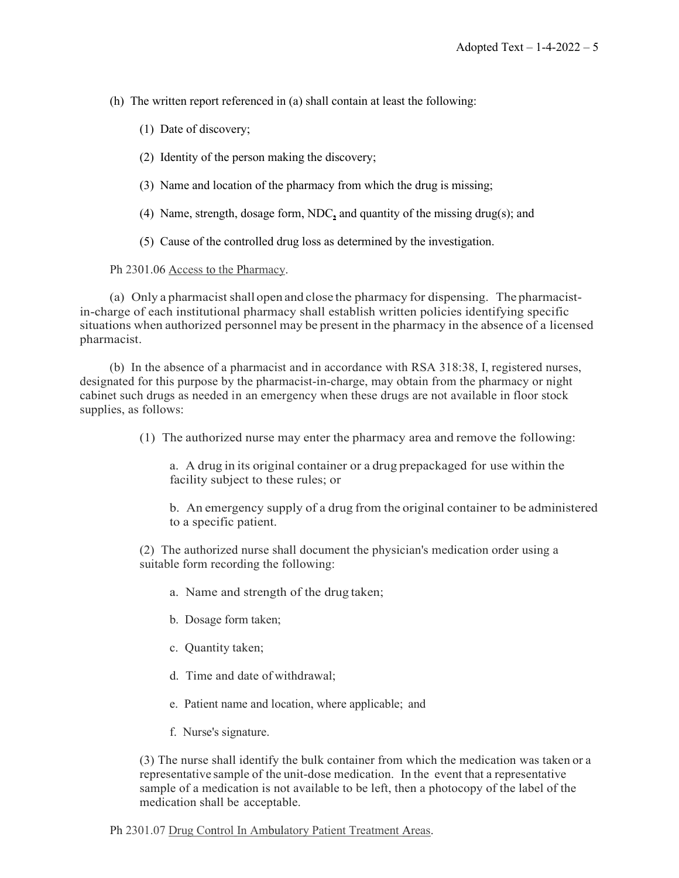(h) The written report referenced in (a) shall contain at least the following:

(1) Date of discovery;

- (2) Identity of the person making the discovery;
- (3) Name and location of the pharmacy from which the drug is missing;
- (4) Name, strength, dosage form, NDC**,** and quantity of the missing drug(s); and
- (5) Cause of the controlled drug loss as determined by the investigation.

### Ph 2301.06 Access to the Pharmacy.

(a) Only a pharmacist shall open and close the pharmacy for dispensing. The pharmacistin-charge of each institutional pharmacy shall establish written policies identifying specific situations when authorized personnel may be present in the pharmacy in the absence of a licensed pharmacist.

(b) In the absence of a pharmacist and in accordance with RSA 318:38, I, registered nurses, designated for this purpose by the pharmacist-in-charge, may obtain from the pharmacy or night cabinet such drugs as needed in an emergency when these drugs are not available in floor stock supplies, as follows:

(1) The authorized nurse may enter the pharmacy area and remove the following:

a. A drug in its original container or a drug prepackaged for use within the facility subject to these rules; or

b. An emergency supply of a drug from the original container to be administered to a specific patient.

(2) The authorized nurse shall document the physician's medication order using a suitable form recording the following:

- a. Name and strength of the drug taken;
- b. Dosage form taken;
- c. Quantity taken;
- d. Time and date of withdrawal;
- e. Patient name and location, where applicable; and
- f. Nurse's signature.

(3) The nurse shall identify the bulk container from which the medication was taken or a representative sample of the unit-dose medication. In the event that a representative sample of a medication is not available to be left, then a photocopy of the label of the medication shall be acceptable.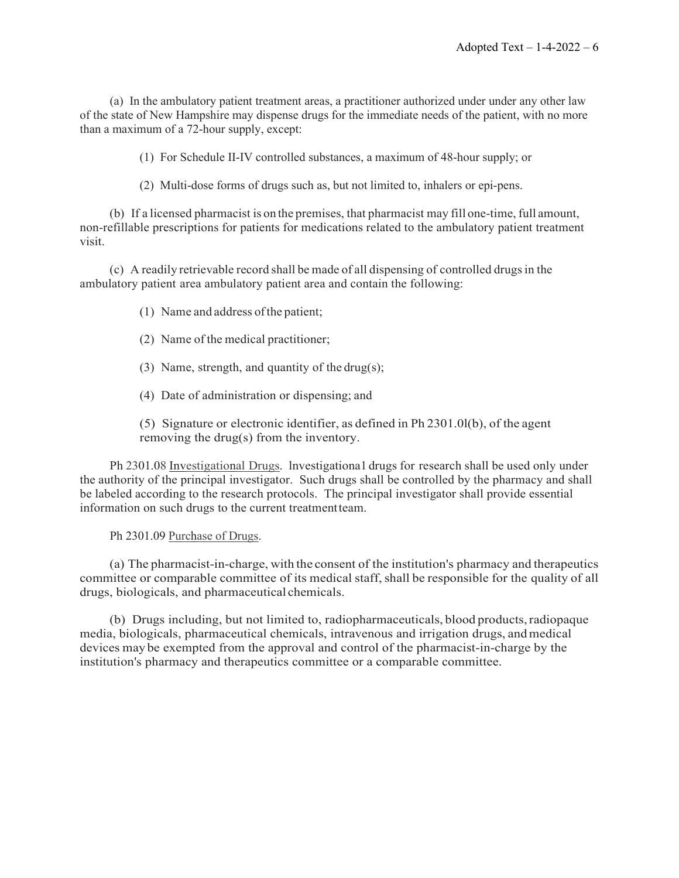(a) In the ambulatory patient treatment areas, a practitioner authorized under under any other law of the state of New Hampshire may dispense drugs for the immediate needs of the patient, with no more than a maximum of a 72-hour supply, except:

(1) For Schedule II-IV controlled substances, a maximum of 48-hour supply; or

(2) Multi-dose forms of drugs such as, but not limited to, inhalers or epi-pens.

(b) If a licensed pharmacist is on the premises, that pharmacist may fill one-time, full amount, non-refillable prescriptions for patients for medications related to the ambulatory patient treatment visit.

(c) A readily retrievable record shall be made of all dispensing of controlled drugsin the ambulatory patient area ambulatory patient area and contain the following:

(1) Name and address ofthe patient;

- (2) Name of the medical practitioner;
- (3) Name, strength, and quantity of the drug(s);
- (4) Date of administration or dispensing; and

(5) Signature or electronic identifier, as defined in Ph 2301.0l(b), of the agent removing the drug(s) from the inventory.

Ph 2301.08 Investigational Drugs. lnvestigationa1 drugs for research shall be used only under the authority of the principal investigator. Such drugs shall be controlled by the pharmacy and shall be labeled according to the research protocols. The principal investigator shall provide essential information on such drugs to the current treatmentteam.

Ph 2301.09 Purchase of Drugs.

(a) The pharmacist-in-charge, with the consent of the institution's pharmacy and therapeutics committee or comparable committee of its medical staff, shall be responsible for the quality of all drugs, biologicals, and pharmaceutical chemicals.

(b) Drugs including, but not limited to, radiopharmaceuticals, blood products,radiopaque media, biologicals, pharmaceutical chemicals, intravenous and irrigation drugs, andmedical devices may be exempted from the approval and control of the pharmacist-in-charge by the institution's pharmacy and therapeutics committee or a comparable committee.